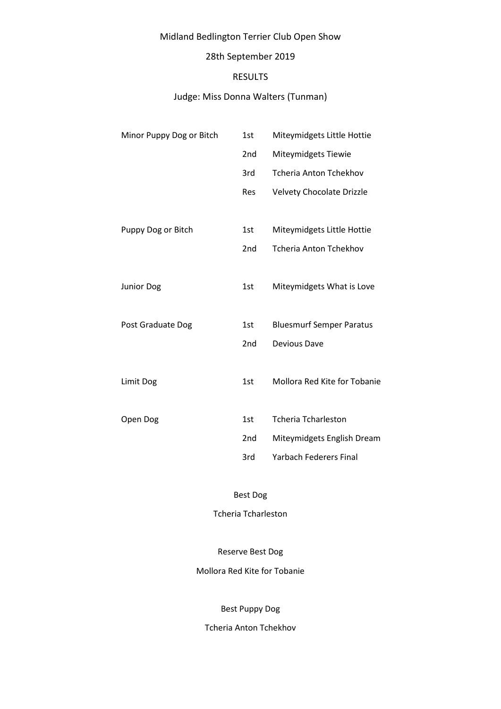# Midland Bedlington Terrier Club Open Show

# 28th September 2019

### RESULTS

## Judge: Miss Donna Walters (Tunman)

| Minor Puppy Dog or Bitch | 1st             | Miteymidgets Little Hottie       |
|--------------------------|-----------------|----------------------------------|
|                          | 2 <sub>nd</sub> | Miteymidgets Tiewie              |
|                          | 3rd             | <b>Tcheria Anton Tchekhov</b>    |
|                          | Res             | <b>Velvety Chocolate Drizzle</b> |
|                          |                 |                                  |
| Puppy Dog or Bitch       | 1st             | Miteymidgets Little Hottie       |
|                          | 2 <sub>nd</sub> | <b>Tcheria Anton Tchekhov</b>    |
|                          |                 |                                  |
| Junior Dog               | 1st             | Miteymidgets What is Love        |
|                          |                 |                                  |
| Post Graduate Dog        | 1st             | <b>Bluesmurf Semper Paratus</b>  |
|                          | 2 <sub>nd</sub> | Devious Dave                     |
|                          |                 |                                  |
| Limit Dog                | 1st             | Mollora Red Kite for Tobanie     |
|                          |                 |                                  |
| Open Dog                 | 1st             | <b>Tcheria Tcharleston</b>       |
|                          | 2 <sub>nd</sub> | Miteymidgets English Dream       |
|                          | 3rd             | <b>Yarbach Federers Final</b>    |

Best Dog

Tcheria Tcharleston

Reserve Best Dog

Mollora Red Kite for Tobanie

Best Puppy Dog

Tcheria Anton Tchekhov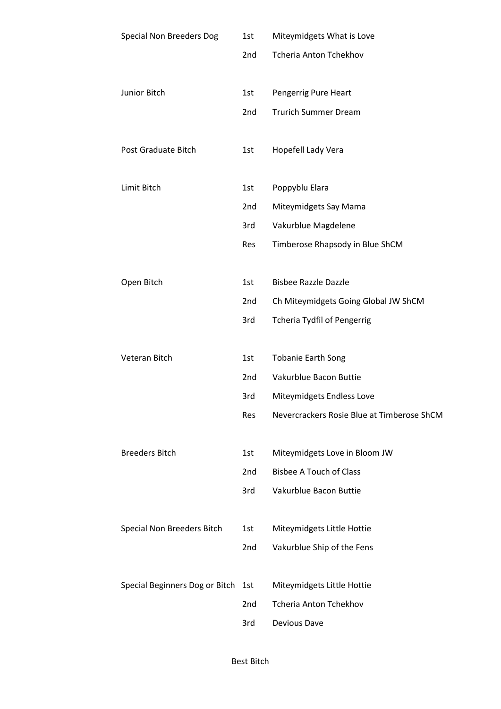| <b>Special Non Breeders Dog</b> | 1st        | Miteymidgets What is Love                  |
|---------------------------------|------------|--------------------------------------------|
|                                 | 2nd        | <b>Tcheria Anton Tchekhov</b>              |
|                                 |            |                                            |
| Junior Bitch                    | 1st        | Pengerrig Pure Heart                       |
|                                 | 2nd        | <b>Trurich Summer Dream</b>                |
|                                 |            |                                            |
| Post Graduate Bitch             | 1st        | Hopefell Lady Vera                         |
|                                 |            |                                            |
| Limit Bitch                     | 1st        | Poppyblu Elara                             |
|                                 | 2nd        | Miteymidgets Say Mama                      |
|                                 | 3rd        | Vakurblue Magdelene                        |
|                                 | <b>Res</b> | Timberose Rhapsody in Blue ShCM            |
|                                 |            |                                            |
| Open Bitch                      | 1st        | <b>Bisbee Razzle Dazzle</b>                |
|                                 | 2nd        | Ch Miteymidgets Going Global JW ShCM       |
|                                 | 3rd        | <b>Tcheria Tydfil of Pengerrig</b>         |
|                                 |            |                                            |
| Veteran Bitch                   | 1st        | <b>Tobanie Earth Song</b>                  |
|                                 | 2nd        | Vakurblue Bacon Buttie                     |
|                                 | 3rd        | Miteymidgets Endless Love                  |
|                                 | Res        | Nevercrackers Rosie Blue at Timberose ShCM |
|                                 |            |                                            |
| <b>Breeders Bitch</b>           | 1st        | Miteymidgets Love in Bloom JW              |
|                                 | 2nd        | <b>Bisbee A Touch of Class</b>             |
|                                 | 3rd        | Vakurblue Bacon Buttie                     |
|                                 |            |                                            |
| Special Non Breeders Bitch      | 1st        | Miteymidgets Little Hottie                 |
|                                 | 2nd        | Vakurblue Ship of the Fens                 |
|                                 |            |                                            |
| Special Beginners Dog or Bitch  | 1st        | Miteymidgets Little Hottie                 |
|                                 | 2nd        | <b>Tcheria Anton Tchekhov</b>              |
|                                 | 3rd        | Devious Dave                               |